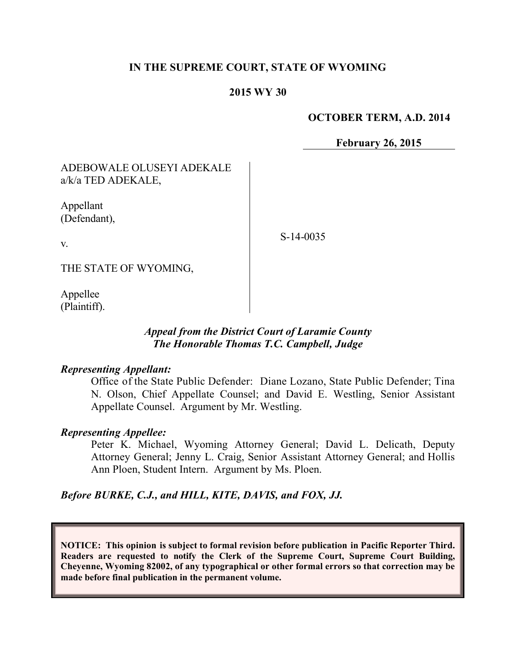#### **IN THE SUPREME COURT, STATE OF WYOMING**

#### **2015 WY 30**

#### **OCTOBER TERM, A.D. 2014**

**February 26, 2015**

ADEBOWALE OLUSEYI ADEKALE a/k/a TED ADEKALE,

Appellant (Defendant),

S-14-0035

THE STATE OF WYOMING,

Appellee (Plaintiff).

v.

#### *Appeal from the District Court of Laramie County The Honorable Thomas T.C. Campbell, Judge*

#### *Representing Appellant:*

Office of the State Public Defender: Diane Lozano, State Public Defender; Tina N. Olson, Chief Appellate Counsel; and David E. Westling, Senior Assistant Appellate Counsel. Argument by Mr. Westling.

#### *Representing Appellee:*

Peter K. Michael, Wyoming Attorney General; David L. Delicath, Deputy Attorney General; Jenny L. Craig, Senior Assistant Attorney General; and Hollis Ann Ploen, Student Intern. Argument by Ms. Ploen.

*Before BURKE, C.J., and HILL, KITE, DAVIS, and FOX, JJ.*

**NOTICE: This opinion is subject to formal revision before publication in Pacific Reporter Third. Readers are requested to notify the Clerk of the Supreme Court, Supreme Court Building, Cheyenne, Wyoming 82002, of any typographical or other formal errors so that correction may be made before final publication in the permanent volume.**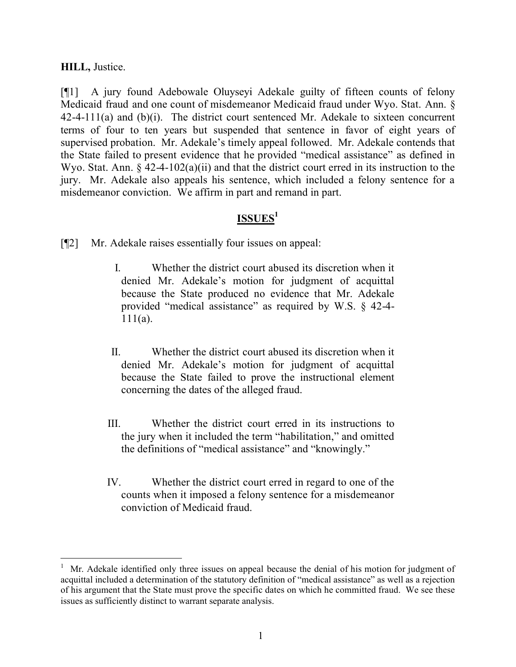### **HILL,** Justice.

 $\overline{a}$ 

[¶1] A jury found Adebowale Oluyseyi Adekale guilty of fifteen counts of felony Medicaid fraud and one count of misdemeanor Medicaid fraud under Wyo. Stat. Ann. § 42-4-111(a) and (b)(i). The district court sentenced Mr. Adekale to sixteen concurrent terms of four to ten years but suspended that sentence in favor of eight years of supervised probation. Mr. Adekale's timely appeal followed. Mr. Adekale contends that the State failed to present evidence that he provided "medical assistance" as defined in Wyo. Stat. Ann. § 42-4-102(a)(ii) and that the district court erred in its instruction to the jury. Mr. Adekale also appeals his sentence, which included a felony sentence for a misdemeanor conviction. We affirm in part and remand in part.

# **ISSUES<sup>1</sup>**

- [¶2] Mr. Adekale raises essentially four issues on appeal:
	- I. Whether the district court abused its discretion when it denied Mr. Adekale's motion for judgment of acquittal because the State produced no evidence that Mr. Adekale provided "medical assistance" as required by W.S. § 42-4-  $111(a)$ .
	- II. Whether the district court abused its discretion when it denied Mr. Adekale's motion for judgment of acquittal because the State failed to prove the instructional element concerning the dates of the alleged fraud.
	- III. Whether the district court erred in its instructions to the jury when it included the term "habilitation," and omitted the definitions of "medical assistance" and "knowingly."
	- IV. Whether the district court erred in regard to one of the counts when it imposed a felony sentence for a misdemeanor conviction of Medicaid fraud.

<sup>1</sup> Mr. Adekale identified only three issues on appeal because the denial of his motion for judgment of acquittal included a determination of the statutory definition of "medical assistance" as well as a rejection of his argument that the State must prove the specific dates on which he committed fraud. We see these issues as sufficiently distinct to warrant separate analysis.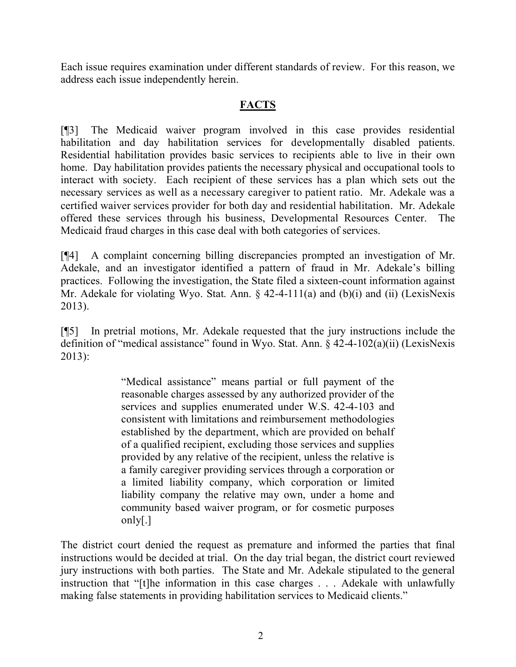Each issue requires examination under different standards of review. For this reason, we address each issue independently herein.

### **FACTS**

[¶3] The Medicaid waiver program involved in this case provides residential habilitation and day habilitation services for developmentally disabled patients. Residential habilitation provides basic services to recipients able to live in their own home. Day habilitation provides patients the necessary physical and occupational tools to interact with society. Each recipient of these services has a plan which sets out the necessary services as well as a necessary caregiver to patient ratio. Mr. Adekale was a certified waiver services provider for both day and residential habilitation. Mr. Adekale offered these services through his business, Developmental Resources Center. The Medicaid fraud charges in this case deal with both categories of services.

[¶4] A complaint concerning billing discrepancies prompted an investigation of Mr. Adekale, and an investigator identified a pattern of fraud in Mr. Adekale's billing practices. Following the investigation, the State filed a sixteen-count information against Mr. Adekale for violating Wyo. Stat. Ann.  $\S$  42-4-111(a) and (b)(i) and (ii) (LexisNexis 2013).

[¶5] In pretrial motions, Mr. Adekale requested that the jury instructions include the definition of "medical assistance" found in Wyo. Stat. Ann. § 42-4-102(a)(ii) (LexisNexis 2013):

> "Medical assistance" means partial or full payment of the reasonable charges assessed by any authorized provider of the services and supplies enumerated under W.S. 42-4-103 and consistent with limitations and reimbursement methodologies established by the department, which are provided on behalf of a qualified recipient, excluding those services and supplies provided by any relative of the recipient, unless the relative is a family caregiver providing services through a corporation or a limited liability company, which corporation or limited liability company the relative may own, under a home and community based waiver program, or for cosmetic purposes only[.]

The district court denied the request as premature and informed the parties that final instructions would be decided at trial. On the day trial began, the district court reviewed jury instructions with both parties. The State and Mr. Adekale stipulated to the general instruction that "[t]he information in this case charges . . . Adekale with unlawfully making false statements in providing habilitation services to Medicaid clients."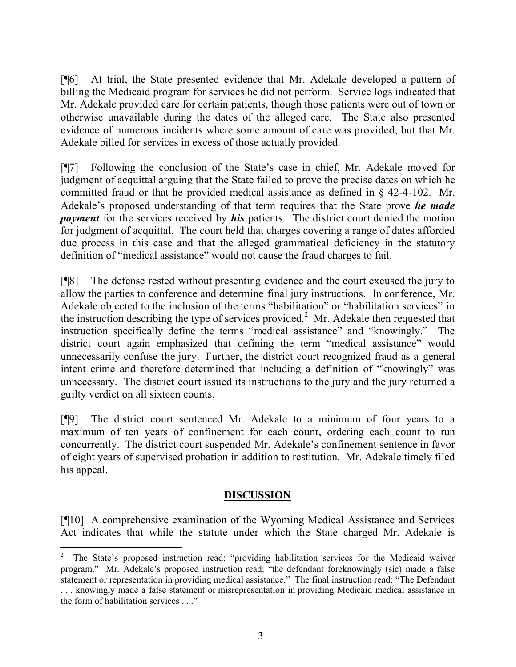[¶6] At trial, the State presented evidence that Mr. Adekale developed a pattern of billing the Medicaid program for services he did not perform. Service logs indicated that Mr. Adekale provided care for certain patients, though those patients were out of town or otherwise unavailable during the dates of the alleged care. The State also presented evidence of numerous incidents where some amount of care was provided, but that Mr. Adekale billed for services in excess of those actually provided.

[¶7] Following the conclusion of the State's case in chief, Mr. Adekale moved for judgment of acquittal arguing that the State failed to prove the precise dates on which he committed fraud or that he provided medical assistance as defined in § 42-4-102. Mr. Adekale's proposed understanding of that term requires that the State prove *he made payment* for the services received by *his* patients. The district court denied the motion for judgment of acquittal. The court held that charges covering a range of dates afforded due process in this case and that the alleged grammatical deficiency in the statutory definition of "medical assistance" would not cause the fraud charges to fail.

[¶8] The defense rested without presenting evidence and the court excused the jury to allow the parties to conference and determine final jury instructions. In conference, Mr. Adekale objected to the inclusion of the terms "habilitation" or "habilitation services" in the instruction describing the type of services provided.<sup>2</sup> Mr. Adekale then requested that instruction specifically define the terms "medical assistance" and "knowingly." The district court again emphasized that defining the term "medical assistance" would unnecessarily confuse the jury. Further, the district court recognized fraud as a general intent crime and therefore determined that including a definition of "knowingly" was unnecessary. The district court issued its instructions to the jury and the jury returned a guilty verdict on all sixteen counts.

[¶9] The district court sentenced Mr. Adekale to a minimum of four years to a maximum of ten years of confinement for each count, ordering each count to run concurrently. The district court suspended Mr. Adekale's confinement sentence in favor of eight years of supervised probation in addition to restitution. Mr. Adekale timely filed his appeal.

### **DISCUSSION**

[¶10] A comprehensive examination of the Wyoming Medical Assistance and Services Act indicates that while the statute under which the State charged Mr. Adekale is

<sup>2</sup> The State's proposed instruction read: "providing habilitation services for the Medicaid waiver program." Mr. Adekale's proposed instruction read: "the defendant foreknowingly (sic) made a false statement or representation in providing medical assistance." The final instruction read: "The Defendant . . . knowingly made a false statement or misrepresentation in providing Medicaid medical assistance in the form of habilitation services . . ."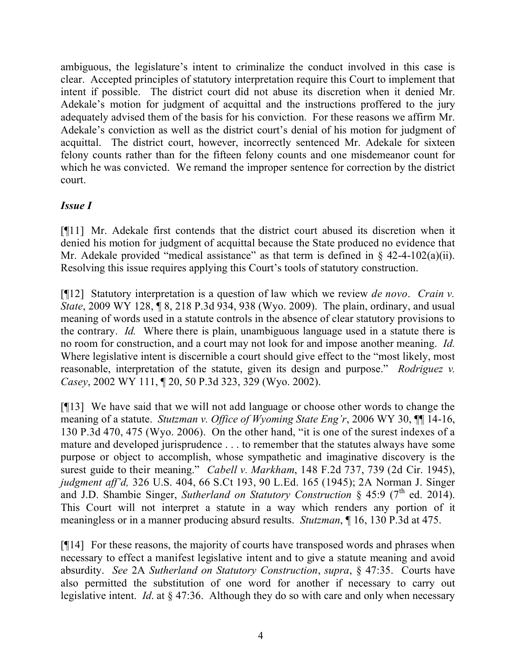ambiguous, the legislature's intent to criminalize the conduct involved in this case is clear. Accepted principles of statutory interpretation require this Court to implement that intent if possible. The district court did not abuse its discretion when it denied Mr. Adekale's motion for judgment of acquittal and the instructions proffered to the jury adequately advised them of the basis for his conviction. For these reasons we affirm Mr. Adekale's conviction as well as the district court's denial of his motion for judgment of acquittal. The district court, however, incorrectly sentenced Mr. Adekale for sixteen felony counts rather than for the fifteen felony counts and one misdemeanor count for which he was convicted. We remand the improper sentence for correction by the district court.

## *Issue I*

[¶11] Mr. Adekale first contends that the district court abused its discretion when it denied his motion for judgment of acquittal because the State produced no evidence that Mr. Adekale provided "medical assistance" as that term is defined in  $\S$  42-4-102(a)(ii). Resolving this issue requires applying this Court's tools of statutory construction.

[¶12] Statutory interpretation is a question of law which we review *de novo*. *Crain v. State*, 2009 WY 128, ¶ 8, 218 P.3d 934, 938 (Wyo. 2009). The plain, ordinary, and usual meaning of words used in a statute controls in the absence of clear statutory provisions to the contrary. *Id.* Where there is plain, unambiguous language used in a statute there is no room for construction, and a court may not look for and impose another meaning. *Id.* Where legislative intent is discernible a court should give effect to the "most likely, most reasonable, interpretation of the statute, given its design and purpose." *Rodriguez v. Casey*, 2002 WY 111, ¶ 20, 50 P.3d 323, 329 (Wyo. 2002).

[¶13] We have said that we will not add language or choose other words to change the meaning of a statute. *Stutzman v. Office of Wyoming State Eng'r*, 2006 WY 30, ¶¶ 14-16, 130 P.3d 470, 475 (Wyo. 2006). On the other hand, "it is one of the surest indexes of a mature and developed jurisprudence . . . to remember that the statutes always have some purpose or object to accomplish, whose sympathetic and imaginative discovery is the surest guide to their meaning." *Cabell v. Markham*, 148 F.2d 737, 739 (2d Cir. 1945), *judgment aff'd,* 326 U.S. 404, 66 S.Ct 193, 90 L.Ed. 165 (1945); 2A Norman J. Singer and J.D. Shambie Singer, *Sutherland on Statutory Construction* § 45:9 ( $7<sup>th</sup>$  ed. 2014). This Court will not interpret a statute in a way which renders any portion of it meaningless or in a manner producing absurd results. *Stutzman*, ¶ 16, 130 P.3d at 475.

[¶14] For these reasons, the majority of courts have transposed words and phrases when necessary to effect a manifest legislative intent and to give a statute meaning and avoid absurdity. *See* 2A *Sutherland on Statutory Construction*, *supra*, § 47:35. Courts have also permitted the substitution of one word for another if necessary to carry out legislative intent. *Id*. at § 47:36. Although they do so with care and only when necessary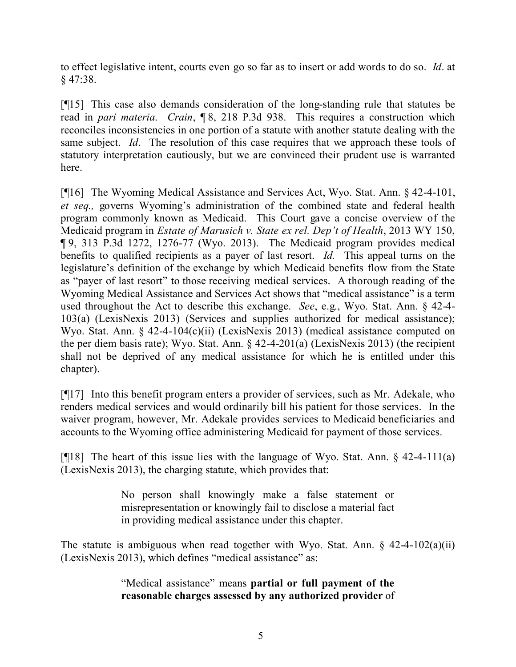to effect legislative intent, courts even go so far as to insert or add words to do so. *Id*. at § 47:38.

[¶15] This case also demands consideration of the long-standing rule that statutes be read in *pari materia*. *Crain*, ¶ 8, 218 P.3d 938. This requires a construction which reconciles inconsistencies in one portion of a statute with another statute dealing with the same subject. *Id*. The resolution of this case requires that we approach these tools of statutory interpretation cautiously, but we are convinced their prudent use is warranted here.

[¶16] The Wyoming Medical Assistance and Services Act, Wyo. Stat. Ann. § 42-4-101, *et seq.,* governs Wyoming's administration of the combined state and federal health program commonly known as Medicaid. This Court gave a concise overview of the Medicaid program in *Estate of Marusich v. State ex rel. Dep't of Health*, 2013 WY 150, ¶ 9, 313 P.3d 1272, 1276-77 (Wyo. 2013). The Medicaid program provides medical benefits to qualified recipients as a payer of last resort. *Id.* This appeal turns on the legislature's definition of the exchange by which Medicaid benefits flow from the State as "payer of last resort" to those receiving medical services. A thorough reading of the Wyoming Medical Assistance and Services Act shows that "medical assistance" is a term used throughout the Act to describe this exchange. *See*, e.g., Wyo. Stat. Ann. § 42-4- 103(a) (LexisNexis 2013) (Services and supplies authorized for medical assistance); Wyo. Stat. Ann. § 42-4-104(c)(ii) (LexisNexis 2013) (medical assistance computed on the per diem basis rate); Wyo. Stat. Ann. § 42-4-201(a) (LexisNexis 2013) (the recipient shall not be deprived of any medical assistance for which he is entitled under this chapter).

[¶17] Into this benefit program enters a provider of services, such as Mr. Adekale, who renders medical services and would ordinarily bill his patient for those services. In the waiver program, however, Mr. Adekale provides services to Medicaid beneficiaries and accounts to the Wyoming office administering Medicaid for payment of those services.

[ $[18]$ ] The heart of this issue lies with the language of Wyo. Stat. Ann. § 42-4-111(a) (LexisNexis 2013), the charging statute, which provides that:

> No person shall knowingly make a false statement or misrepresentation or knowingly fail to disclose a material fact in providing medical assistance under this chapter.

The statute is ambiguous when read together with Wyo. Stat. Ann.  $\S$  42-4-102(a)(ii) (LexisNexis 2013), which defines "medical assistance" as:

> "Medical assistance" means **partial or full payment of the reasonable charges assessed by any authorized provider** of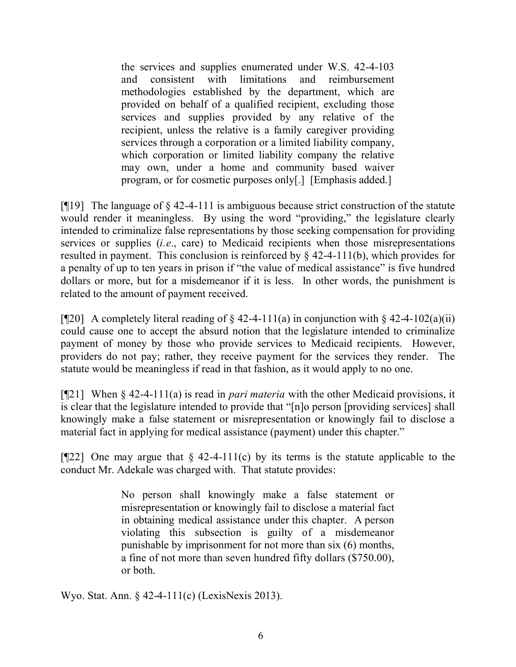the services and supplies enumerated under W.S. 42-4-103 and consistent with limitations and reimbursement methodologies established by the department, which are provided on behalf of a qualified recipient, excluding those services and supplies provided by any relative of the recipient, unless the relative is a family caregiver providing services through a corporation or a limited liability company, which corporation or limited liability company the relative may own, under a home and community based waiver program, or for cosmetic purposes only[.] [Emphasis added.]

[ $[19]$ ] The language of  $\S$  42-4-111 is ambiguous because strict construction of the statute would render it meaningless. By using the word "providing," the legislature clearly intended to criminalize false representations by those seeking compensation for providing services or supplies (*i.e*., care) to Medicaid recipients when those misrepresentations resulted in payment. This conclusion is reinforced by  $\S$  42-4-111(b), which provides for a penalty of up to ten years in prison if "the value of medical assistance" is five hundred dollars or more, but for a misdemeanor if it is less. In other words, the punishment is related to the amount of payment received.

[ $[$ [20] A completely literal reading of § 42-4-111(a) in conjunction with § 42-4-102(a)(ii) could cause one to accept the absurd notion that the legislature intended to criminalize payment of money by those who provide services to Medicaid recipients. However, providers do not pay; rather, they receive payment for the services they render. The statute would be meaningless if read in that fashion, as it would apply to no one.

[¶21] When § 42-4-111(a) is read in *pari materia* with the other Medicaid provisions, it is clear that the legislature intended to provide that "[n]o person [providing services] shall knowingly make a false statement or misrepresentation or knowingly fail to disclose a material fact in applying for medical assistance (payment) under this chapter."

[ $[$ 22] One may argue that § 42-4-111(c) by its terms is the statute applicable to the conduct Mr. Adekale was charged with. That statute provides:

> No person shall knowingly make a false statement or misrepresentation or knowingly fail to disclose a material fact in obtaining medical assistance under this chapter. A person violating this subsection is guilty of a misdemeanor punishable by imprisonment for not more than six (6) months, a fine of not more than seven hundred fifty dollars (\$750.00), or both.

Wyo. Stat. Ann. § 42-4-111(c) (LexisNexis 2013).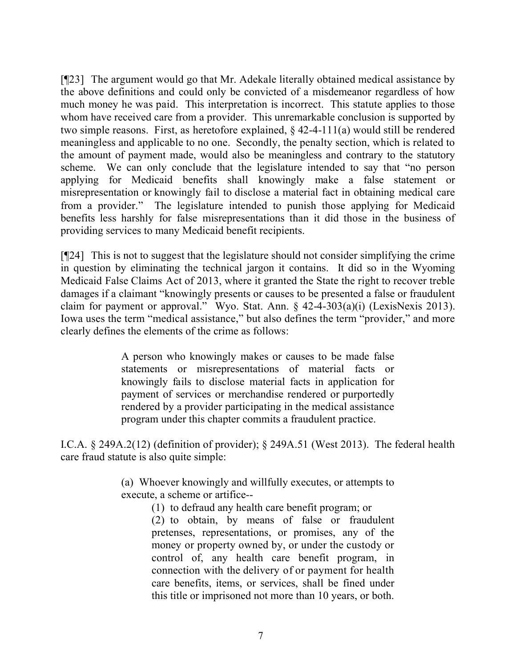[¶23] The argument would go that Mr. Adekale literally obtained medical assistance by the above definitions and could only be convicted of a misdemeanor regardless of how much money he was paid. This interpretation is incorrect. This statute applies to those whom have received care from a provider. This unremarkable conclusion is supported by two simple reasons. First, as heretofore explained, § 42-4-111(a) would still be rendered meaningless and applicable to no one. Secondly, the penalty section, which is related to the amount of payment made, would also be meaningless and contrary to the statutory scheme. We can only conclude that the legislature intended to say that "no person applying for Medicaid benefits shall knowingly make a false statement or misrepresentation or knowingly fail to disclose a material fact in obtaining medical care from a provider." The legislature intended to punish those applying for Medicaid benefits less harshly for false misrepresentations than it did those in the business of providing services to many Medicaid benefit recipients.

[¶24] This is not to suggest that the legislature should not consider simplifying the crime in question by eliminating the technical jargon it contains. It did so in the Wyoming Medicaid False Claims Act of 2013, where it granted the State the right to recover treble damages if a claimant "knowingly presents or causes to be presented a false or fraudulent claim for payment or approval." Wyo. Stat. Ann. § 42-4-303(a)(i) (LexisNexis 2013). Iowa uses the term "medical assistance," but also defines the term "provider," and more clearly defines the elements of the crime as follows:

> A person who knowingly makes or causes to be made false statements or misrepresentations of material facts or knowingly fails to disclose material facts in application for payment of services or merchandise rendered or purportedly rendered by a provider participating in the medical assistance program under this chapter commits a fraudulent practice.

I.C.A. § 249A.2(12) (definition of provider); § 249A.51 (West 2013). The federal health care fraud statute is also quite simple:

> (a) Whoever knowingly and willfully executes, or attempts to execute, a scheme or artifice--

(1) to defraud any health care benefit program; or (2) to obtain, by means of false or fraudulent pretenses, representations, or promises, any of the money or property owned by, or under the custody or control of, any health care benefit program, in connection with the delivery of or payment for health care benefits, items, or services, shall be fined under this title or imprisoned not more than 10 years, or both.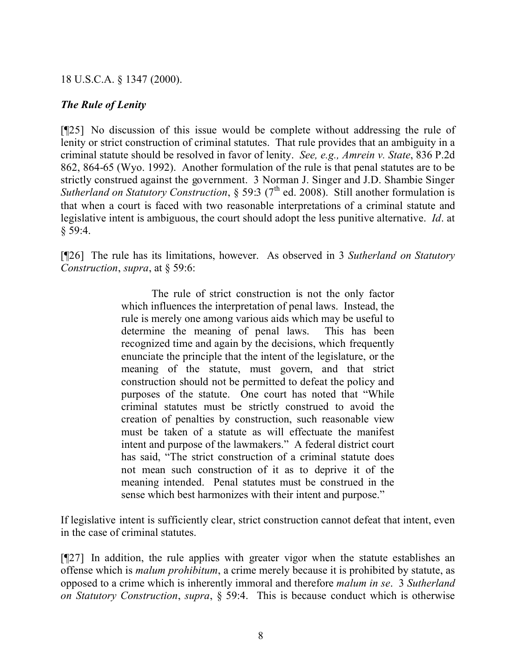### 18 U.S.C.A. § 1347 (2000).

### *The Rule of Lenity*

[¶25] No discussion of this issue would be complete without addressing the rule of lenity or strict construction of criminal statutes. That rule provides that an ambiguity in a criminal statute should be resolved in favor of lenity. *See, e.g., Amrein v. State*, 836 P.2d 862, 864-65 (Wyo. 1992). Another formulation of the rule is that penal statutes are to be strictly construed against the government. 3 Norman J. Singer and J.D. Shambie Singer *Sutherland on Statutory Construction*, § 59:3 (7<sup>th</sup> ed. 2008). Still another formulation is that when a court is faced with two reasonable interpretations of a criminal statute and legislative intent is ambiguous, the court should adopt the less punitive alternative. *Id*. at  $§ 59:4.$ 

[¶26] The rule has its limitations, however. As observed in 3 *Sutherland on Statutory Construction*, *supra*, at § 59:6:

> The rule of strict construction is not the only factor which influences the interpretation of penal laws. Instead, the rule is merely one among various aids which may be useful to determine the meaning of penal laws. This has been recognized time and again by the decisions, which frequently enunciate the principle that the intent of the legislature, or the meaning of the statute, must govern, and that strict construction should not be permitted to defeat the policy and purposes of the statute. One court has noted that "While criminal statutes must be strictly construed to avoid the creation of penalties by construction, such reasonable view must be taken of a statute as will effectuate the manifest intent and purpose of the lawmakers." A federal district court has said, "The strict construction of a criminal statute does not mean such construction of it as to deprive it of the meaning intended. Penal statutes must be construed in the sense which best harmonizes with their intent and purpose."

If legislative intent is sufficiently clear, strict construction cannot defeat that intent, even in the case of criminal statutes.

[¶27] In addition, the rule applies with greater vigor when the statute establishes an offense which is *malum prohibitum*, a crime merely because it is prohibited by statute, as opposed to a crime which is inherently immoral and therefore *malum in se*. 3 *Sutherland on Statutory Construction*, *supra*, § 59:4. This is because conduct which is otherwise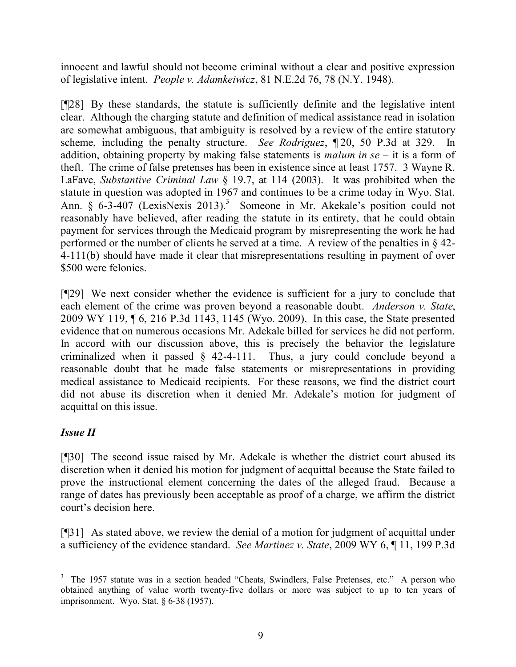innocent and lawful should not become criminal without a clear and positive expression of legislative intent. *People v. Adamkeiwicz*, 81 N.E.2d 76, 78 (N.Y. 1948).

[¶28] By these standards, the statute is sufficiently definite and the legislative intent clear. Although the charging statute and definition of medical assistance read in isolation are somewhat ambiguous, that ambiguity is resolved by a review of the entire statutory scheme, including the penalty structure. *See Rodriguez*, ¶ 20, 50 P.3d at 329. In addition, obtaining property by making false statements is *malum in se* – it is a form of theft. The crime of false pretenses has been in existence since at least 1757. 3 Wayne R. LaFave, *Substantive Criminal Law* § 19.7, at 114 (2003). It was prohibited when the statute in question was adopted in 1967 and continues to be a crime today in Wyo. Stat. Ann. § 6-3-407 (LexisNexis 2013). 3 Someone in Mr. Akekale's position could not reasonably have believed, after reading the statute in its entirety, that he could obtain payment for services through the Medicaid program by misrepresenting the work he had performed or the number of clients he served at a time. A review of the penalties in § 42- 4-111(b) should have made it clear that misrepresentations resulting in payment of over \$500 were felonies.

[¶29] We next consider whether the evidence is sufficient for a jury to conclude that each element of the crime was proven beyond a reasonable doubt. *Anderson v. State*, 2009 WY 119, ¶ 6, 216 P.3d 1143, 1145 (Wyo. 2009). In this case, the State presented evidence that on numerous occasions Mr. Adekale billed for services he did not perform. In accord with our discussion above, this is precisely the behavior the legislature criminalized when it passed § 42-4-111. Thus, a jury could conclude beyond a reasonable doubt that he made false statements or misrepresentations in providing medical assistance to Medicaid recipients. For these reasons, we find the district court did not abuse its discretion when it denied Mr. Adekale's motion for judgment of acquittal on this issue.

# *Issue II*

[¶30] The second issue raised by Mr. Adekale is whether the district court abused its discretion when it denied his motion for judgment of acquittal because the State failed to prove the instructional element concerning the dates of the alleged fraud. Because a range of dates has previously been acceptable as proof of a charge, we affirm the district court's decision here.

[¶31] As stated above, we review the denial of a motion for judgment of acquittal under a sufficiency of the evidence standard. *See Martinez v. State*, 2009 WY 6, ¶ 11, 199 P.3d

 <sup>3</sup> The 1957 statute was in a section headed "Cheats, Swindlers, False Pretenses, etc." A person who obtained anything of value worth twenty-five dollars or more was subject to up to ten years of imprisonment. Wyo. Stat. § 6-38 (1957).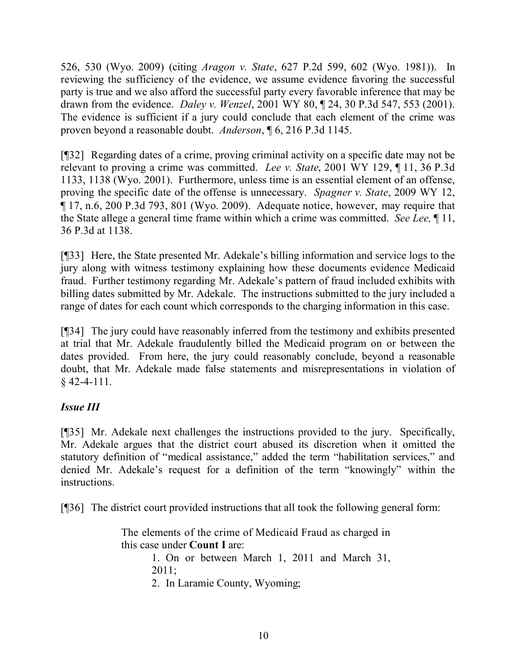526, 530 (Wyo. 2009) (citing *Aragon v. State*, 627 P.2d 599, 602 (Wyo. 1981)). In reviewing the sufficiency of the evidence, we assume evidence favoring the successful party is true and we also afford the successful party every favorable inference that may be drawn from the evidence. *Daley v. Wenzel*, 2001 WY 80, ¶ 24, 30 P.3d 547, 553 (2001). The evidence is sufficient if a jury could conclude that each element of the crime was proven beyond a reasonable doubt. *Anderson*, ¶ 6, 216 P.3d 1145.

[¶32] Regarding dates of a crime, proving criminal activity on a specific date may not be relevant to proving a crime was committed. *Lee v. State*, 2001 WY 129, ¶ 11, 36 P.3d 1133, 1138 (Wyo. 2001). Furthermore, unless time is an essential element of an offense, proving the specific date of the offense is unnecessary. *Spagner v. State*, 2009 WY 12, ¶ 17, n.6, 200 P.3d 793, 801 (Wyo. 2009). Adequate notice, however, may require that the State allege a general time frame within which a crime was committed. *See Lee,* ¶ 11, 36 P.3d at 1138.

[¶33] Here, the State presented Mr. Adekale's billing information and service logs to the jury along with witness testimony explaining how these documents evidence Medicaid fraud. Further testimony regarding Mr. Adekale's pattern of fraud included exhibits with billing dates submitted by Mr. Adekale. The instructions submitted to the jury included a range of dates for each count which corresponds to the charging information in this case.

[¶34] The jury could have reasonably inferred from the testimony and exhibits presented at trial that Mr. Adekale fraudulently billed the Medicaid program on or between the dates provided. From here, the jury could reasonably conclude, beyond a reasonable doubt, that Mr. Adekale made false statements and misrepresentations in violation of § 42-4-111.

## *Issue III*

[¶35] Mr. Adekale next challenges the instructions provided to the jury. Specifically, Mr. Adekale argues that the district court abused its discretion when it omitted the statutory definition of "medical assistance," added the term "habilitation services," and denied Mr. Adekale's request for a definition of the term "knowingly" within the instructions.

[¶36] The district court provided instructions that all took the following general form:

The elements of the crime of Medicaid Fraud as charged in this case under **Count I** are:

> 1. On or between March 1, 2011 and March 31, 2011;

2. In Laramie County, Wyoming;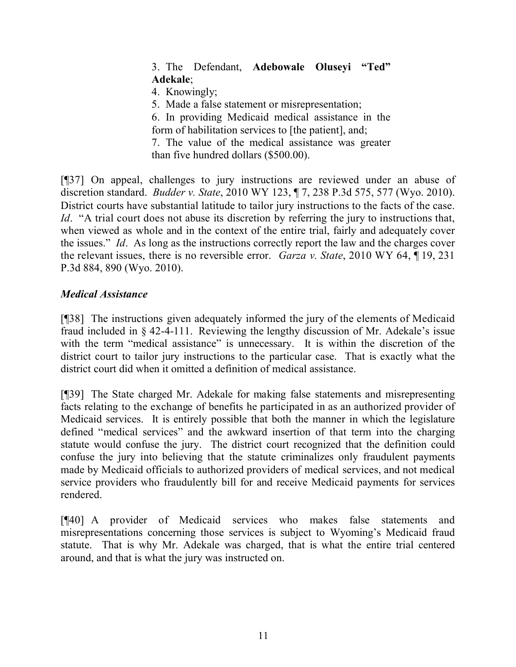## 3. The Defendant, **Adebowale Oluseyi "Ted" Adekale**;

4. Knowingly;

5. Made a false statement or misrepresentation;

6. In providing Medicaid medical assistance in the form of habilitation services to [the patient], and; 7. The value of the medical assistance was greater

than five hundred dollars (\$500.00).

[¶37] On appeal, challenges to jury instructions are reviewed under an abuse of discretion standard. *Budder v. State*, 2010 WY 123, ¶ 7, 238 P.3d 575, 577 (Wyo. 2010). District courts have substantial latitude to tailor jury instructions to the facts of the case. *Id.* "A trial court does not abuse its discretion by referring the jury to instructions that, when viewed as whole and in the context of the entire trial, fairly and adequately cover the issues." *Id*. As long as the instructions correctly report the law and the charges cover the relevant issues, there is no reversible error. *Garza v. State*, 2010 WY 64, ¶ 19, 231 P.3d 884, 890 (Wyo. 2010).

## *Medical Assistance*

[¶38] The instructions given adequately informed the jury of the elements of Medicaid fraud included in § 42-4-111. Reviewing the lengthy discussion of Mr. Adekale's issue with the term "medical assistance" is unnecessary. It is within the discretion of the district court to tailor jury instructions to the particular case. That is exactly what the district court did when it omitted a definition of medical assistance.

[¶39] The State charged Mr. Adekale for making false statements and misrepresenting facts relating to the exchange of benefits he participated in as an authorized provider of Medicaid services. It is entirely possible that both the manner in which the legislature defined "medical services" and the awkward insertion of that term into the charging statute would confuse the jury. The district court recognized that the definition could confuse the jury into believing that the statute criminalizes only fraudulent payments made by Medicaid officials to authorized providers of medical services, and not medical service providers who fraudulently bill for and receive Medicaid payments for services rendered.

[¶40] A provider of Medicaid services who makes false statements and misrepresentations concerning those services is subject to Wyoming's Medicaid fraud statute. That is why Mr. Adekale was charged, that is what the entire trial centered around, and that is what the jury was instructed on.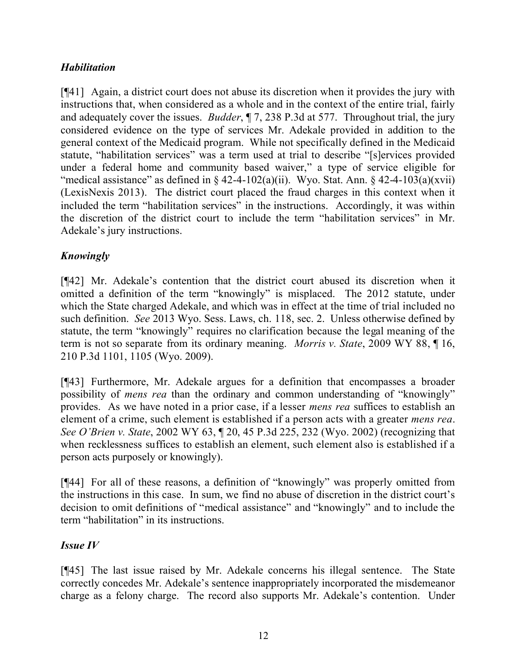## *Habilitation*

[¶41] Again, a district court does not abuse its discretion when it provides the jury with instructions that, when considered as a whole and in the context of the entire trial, fairly and adequately cover the issues. *Budder*, ¶ 7, 238 P.3d at 577.Throughout trial, the jury considered evidence on the type of services Mr. Adekale provided in addition to the general context of the Medicaid program. While not specifically defined in the Medicaid statute, "habilitation services" was a term used at trial to describe "[s]ervices provided under a federal home and community based waiver," a type of service eligible for "medical assistance" as defined in  $\S$  42-4-102(a)(ii). Wyo. Stat. Ann.  $\S$  42-4-103(a)(xvii) (LexisNexis 2013). The district court placed the fraud charges in this context when it included the term "habilitation services" in the instructions. Accordingly, it was within the discretion of the district court to include the term "habilitation services" in Mr. Adekale's jury instructions.

# *Knowingly*

[¶42] Mr. Adekale's contention that the district court abused its discretion when it omitted a definition of the term "knowingly" is misplaced. The 2012 statute, under which the State charged Adekale, and which was in effect at the time of trial included no such definition. *See* 2013 Wyo. Sess. Laws, ch. 118, sec. 2. Unless otherwise defined by statute, the term "knowingly" requires no clarification because the legal meaning of the term is not so separate from its ordinary meaning. *Morris v. State*, 2009 WY 88, ¶ 16, 210 P.3d 1101, 1105 (Wyo. 2009).

[¶43] Furthermore, Mr. Adekale argues for a definition that encompasses a broader possibility of *mens rea* than the ordinary and common understanding of "knowingly" provides. As we have noted in a prior case, if a lesser *mens rea* suffices to establish an element of a crime, such element is established if a person acts with a greater *mens rea*. *See O'Brien v. State*, 2002 WY 63, ¶ 20, 45 P.3d 225, 232 (Wyo. 2002) (recognizing that when recklessness suffices to establish an element, such element also is established if a person acts purposely or knowingly).

[¶44] For all of these reasons, a definition of "knowingly" was properly omitted from the instructions in this case. In sum, we find no abuse of discretion in the district court's decision to omit definitions of "medical assistance" and "knowingly" and to include the term "habilitation" in its instructions.

## *Issue IV*

[¶45] The last issue raised by Mr. Adekale concerns his illegal sentence. The State correctly concedes Mr. Adekale's sentence inappropriately incorporated the misdemeanor charge as a felony charge. The record also supports Mr. Adekale's contention. Under